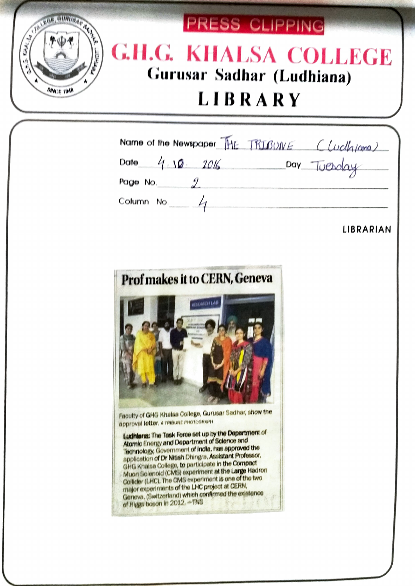

| Name of the Newspaper THE TRIBUNE | ( Wellgrama) |
|-----------------------------------|--------------|
| Date<br>4.10<br>$-2016$           | Day          |
| Page No.                          |              |
| Column No.                        |              |

LIBRARIAN



Faculty of GHG Khalsa College, Gurusar Sadhar, show the approval letter, A TRiBuNE PHOTOGRAPH

Ludhlana: The Task Force set up by the Department of Atomlo Enorgy and Department of Sclence and Tachnoloy, Governmert of Indla, has approvsd the application of Dr Nitish Dhinga, Assistant Professor, GHG Khalsa College, to participate in the Compact Muori Solenoid (CMS) experiment at the Large Hadron Collider (LHC), The CMS oxperimert is one of the two major experlments of the LHC projoot at CERN Geneva, (Switzerland) which confirmed the existence of Higgs boson in 2012, -TNS